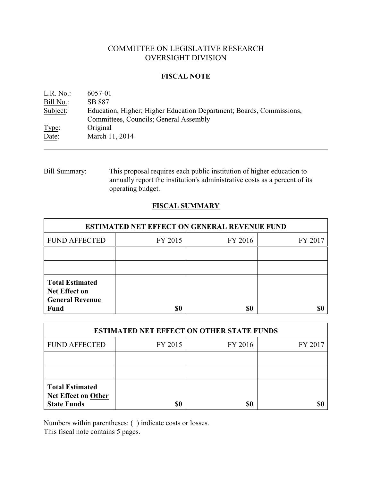# COMMITTEE ON LEGISLATIVE RESEARCH OVERSIGHT DIVISION

### **FISCAL NOTE**

| L.R. No.: | 6057-01                                                              |
|-----------|----------------------------------------------------------------------|
| Bill No.: | SB 887                                                               |
| Subject:  | Education, Higher; Higher Education Department; Boards, Commissions, |
|           | Committees, Councils; General Assembly                               |
| Type:     | Original                                                             |
| Date:     | March 11, 2014                                                       |

Bill Summary: This proposal requires each public institution of higher education to annually report the institution's administrative costs as a percent of its operating budget.

## **FISCAL SUMMARY**

| <b>ESTIMATED NET EFFECT ON GENERAL REVENUE FUND</b>                                     |         |         |         |  |
|-----------------------------------------------------------------------------------------|---------|---------|---------|--|
| <b>FUND AFFECTED</b>                                                                    | FY 2015 | FY 2016 | FY 2017 |  |
|                                                                                         |         |         |         |  |
|                                                                                         |         |         |         |  |
| <b>Total Estimated</b><br><b>Net Effect on</b><br><b>General Revenue</b><br><b>Fund</b> | \$0     | \$0     |         |  |

| <b>ESTIMATED NET EFFECT ON OTHER STATE FUNDS</b>                           |         |         |         |  |
|----------------------------------------------------------------------------|---------|---------|---------|--|
| <b>FUND AFFECTED</b>                                                       | FY 2015 | FY 2016 | FY 2017 |  |
|                                                                            |         |         |         |  |
|                                                                            |         |         |         |  |
| <b>Total Estimated</b><br><b>Net Effect on Other</b><br><b>State Funds</b> | \$0     | \$0     |         |  |

Numbers within parentheses: ( ) indicate costs or losses.

This fiscal note contains 5 pages.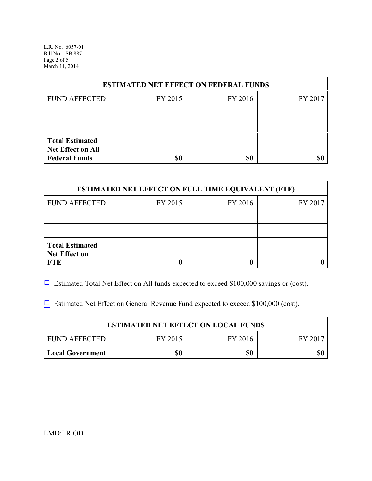L.R. No. 6057-01 Bill No. SB 887 Page 2 of 5 March 11, 2014

| <b>ESTIMATED NET EFFECT ON FEDERAL FUNDS</b> |         |         |         |  |
|----------------------------------------------|---------|---------|---------|--|
| <b>FUND AFFECTED</b>                         | FY 2015 | FY 2016 | FY 2017 |  |
|                                              |         |         |         |  |
|                                              |         |         |         |  |
| <b>Total Estimated</b><br>Net Effect on All  |         |         |         |  |
| <b>Federal Funds</b>                         | \$0     | \$0     |         |  |

| <b>ESTIMATED NET EFFECT ON FULL TIME EQUIVALENT (FTE)</b>    |         |         |         |  |
|--------------------------------------------------------------|---------|---------|---------|--|
| <b>FUND AFFECTED</b>                                         | FY 2015 | FY 2016 | FY 2017 |  |
|                                                              |         |         |         |  |
|                                                              |         |         |         |  |
| <b>Total Estimated</b><br><b>Net Effect on</b><br><b>FTE</b> |         |         |         |  |

 $\Box$  Estimated Total Net Effect on All funds expected to exceed \$100,000 savings or (cost).

 $\Box$  Estimated Net Effect on General Revenue Fund expected to exceed \$100,000 (cost).

| <b>ESTIMATED NET EFFECT ON LOCAL FUNDS</b> |         |         |         |  |
|--------------------------------------------|---------|---------|---------|--|
| FUND AFFECTED                              | FY 2015 | FY 2016 | FY 2017 |  |
| <b>Local Government</b>                    | \$0     | \$0     | \$0     |  |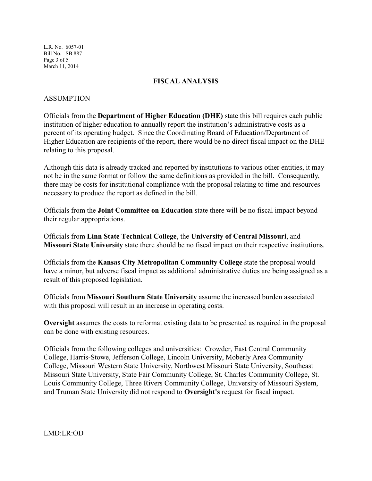L.R. No. 6057-01 Bill No. SB 887 Page 3 of 5 March 11, 2014

### **FISCAL ANALYSIS**

### ASSUMPTION

Officials from the **Department of Higher Education (DHE)** state this bill requires each public institution of higher education to annually report the institution's administrative costs as a percent of its operating budget. Since the Coordinating Board of Education/Department of Higher Education are recipients of the report, there would be no direct fiscal impact on the DHE relating to this proposal.

Although this data is already tracked and reported by institutions to various other entities, it may not be in the same format or follow the same definitions as provided in the bill. Consequently, there may be costs for institutional compliance with the proposal relating to time and resources necessary to produce the report as defined in the bill.

Officials from the **Joint Committee on Education** state there will be no fiscal impact beyond their regular appropriations.

Officials from **Linn State Technical College**, the **University of Central Missouri**, and **Missouri State University** state there should be no fiscal impact on their respective institutions.

Officials from the **Kansas City Metropolitan Community College** state the proposal would have a minor, but adverse fiscal impact as additional administrative duties are being assigned as a result of this proposed legislation.

Officials from **Missouri Southern State University** assume the increased burden associated with this proposal will result in an increase in operating costs.

**Oversight** assumes the costs to reformat existing data to be presented as required in the proposal can be done with existing resources.

Officials from the following colleges and universities: Crowder, East Central Community College, Harris-Stowe, Jefferson College, Lincoln University, Moberly Area Community College, Missouri Western State University, Northwest Missouri State University, Southeast Missouri State University, State Fair Community College, St. Charles Community College, St. Louis Community College, Three Rivers Community College, University of Missouri System, and Truman State University did not respond to **Oversight's** request for fiscal impact.

LMD:LR:OD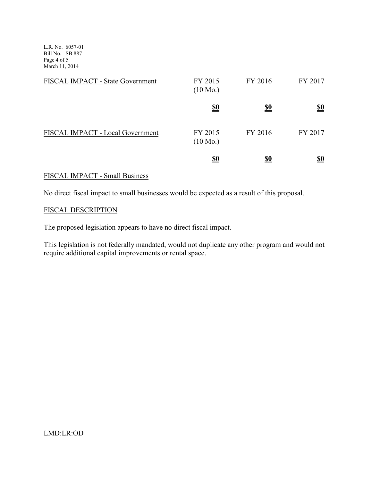L.R. No. 6057-01 Bill No. SB 887 Page 4 of 5 March 11, 2014

| FISCAL IMPACT - State Government | FY 2015<br>$(10 \text{ Mo.})$ | FY 2016    | FY 2017                       |
|----------------------------------|-------------------------------|------------|-------------------------------|
|                                  | <u>\$0</u>                    | <u>\$0</u> | $\underline{\underline{\$0}}$ |
| FISCAL IMPACT - Local Government | FY 2015<br>$(10 \text{ Mo.})$ | FY 2016    | FY 2017                       |
|                                  | <u>\$0</u>                    | <u>\$0</u> | <u>\$0</u>                    |

# FISCAL IMPACT - Small Business

No direct fiscal impact to small businesses would be expected as a result of this proposal.

### FISCAL DESCRIPTION

The proposed legislation appears to have no direct fiscal impact.

This legislation is not federally mandated, would not duplicate any other program and would not require additional capital improvements or rental space.